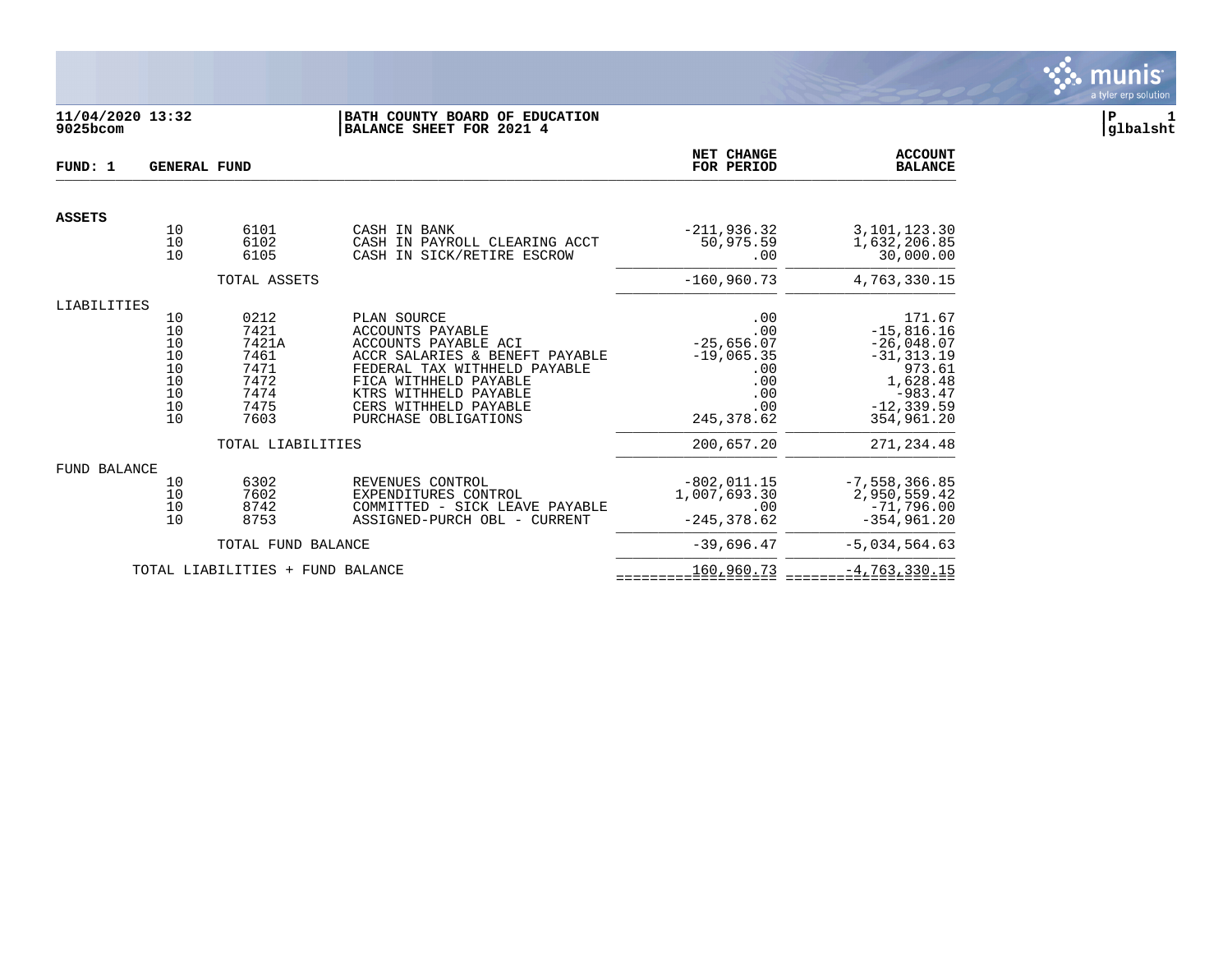

# **11/04/2020 13:32 |BATH COUNTY BOARD OF EDUCATION |P 1 9025bcom |BALANCE SHEET FOR 2021 4 |glbalsht**

| FUND: 1             | <b>GENERAL FUND</b>                                                               |                                                                                            |                                                                                                                                                                                                                                     | NET CHANGE<br>FOR PERIOD                                                                            | <b>ACCOUNT</b><br><b>BALANCE</b>                                                                                                         |
|---------------------|-----------------------------------------------------------------------------------|--------------------------------------------------------------------------------------------|-------------------------------------------------------------------------------------------------------------------------------------------------------------------------------------------------------------------------------------|-----------------------------------------------------------------------------------------------------|------------------------------------------------------------------------------------------------------------------------------------------|
| <b>ASSETS</b>       |                                                                                   |                                                                                            |                                                                                                                                                                                                                                     |                                                                                                     |                                                                                                                                          |
|                     | 10<br>10<br>10                                                                    | 6101<br>6102<br>6105                                                                       | CASH IN BANK<br>CASH IN PAYROLL CLEARING ACCT<br>CASH IN SICK/RETIRE ESCROW                                                                                                                                                         | $-211,936.32$<br>50,975.59<br>.00                                                                   | 3,101,123.30<br>1,632,206.85<br>30,000.00                                                                                                |
|                     |                                                                                   | TOTAL ASSETS                                                                               |                                                                                                                                                                                                                                     | $-160,960.73$                                                                                       | 4,763,330.15                                                                                                                             |
| LIABILITIES         |                                                                                   |                                                                                            |                                                                                                                                                                                                                                     |                                                                                                     |                                                                                                                                          |
|                     | 10<br>$\begin{array}{c} 10 \\ 10 \end{array}$<br>10<br>10<br>10<br>10<br>10<br>10 | 0212<br>7421<br>7421A<br>7461<br>7471<br>7472<br>7474<br>7475<br>7603<br>TOTAL LIABILITIES | PLAN SOURCE<br><b>ACCOUNTS PAYABLE</b><br>ACCOUNTS PAYABLE ACI<br>ACCR SALARIES & BENEFT PAYABLE<br>FEDERAL TAX WITHHELD PAYABLE<br>FICA WITHHELD PAYABLE<br>KTRS WITHHELD PAYABLE<br>CERS WITHHELD PAYABLE<br>PURCHASE OBLIGATIONS | .00<br>.00<br>$-25,656.07$<br>$-19,065.35$<br>.00<br>.00<br>.00<br>.00<br>245, 378.62<br>200,657.20 | 171.67<br>$-15,816.16$<br>$-26,048.07$<br>$-31, 313.19$<br>973.61<br>1,628.48<br>$-983.47$<br>$-12, 339.59$<br>354,961.20<br>271, 234.48 |
|                     |                                                                                   |                                                                                            |                                                                                                                                                                                                                                     |                                                                                                     |                                                                                                                                          |
| <b>FUND BALANCE</b> | 10<br>10<br>10<br>10                                                              | 6302<br>7602<br>8742<br>8753                                                               | REVENUES CONTROL<br>EXPENDITURES CONTROL<br>COMMITTED - SICK LEAVE PAYABLE<br>ASSIGNED-PURCH OBL - CURRENT                                                                                                                          | $-802, 011.15$<br>1,007,693.30<br>.00<br>$-245, 378.62$                                             | $-7,558,366.85$<br>2,950,559.42<br>$-71,796.00$<br>$-354, 961.20$                                                                        |
|                     |                                                                                   | TOTAL FUND BALANCE                                                                         |                                                                                                                                                                                                                                     | $-39,696.47$                                                                                        | $-5,034,564.63$                                                                                                                          |
|                     |                                                                                   | TOTAL LIABILITIES + FUND BALANCE                                                           |                                                                                                                                                                                                                                     | 160,960.73                                                                                          | $-4, 763, 330.15$                                                                                                                        |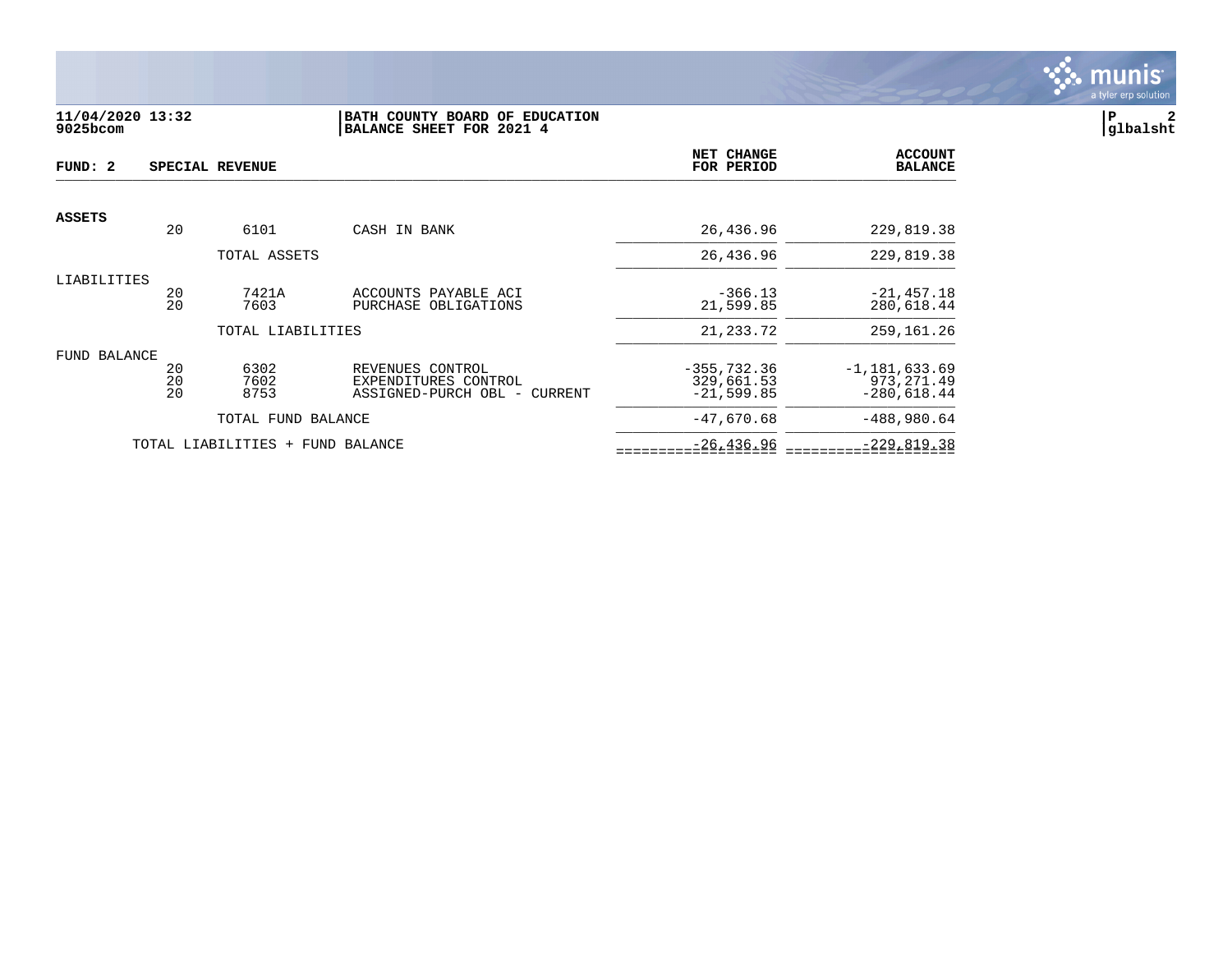

## **11/04/2020 13:32 |BATH COUNTY BOARD OF EDUCATION |P 2 9025bcom |BALANCE SHEET FOR 2021 4 |glbalsht**

| FUND: 2             |                | SPECIAL REVENUE                  |                                                                          | NET CHANGE<br>FOR PERIOD                     | <b>ACCOUNT</b><br><b>BALANCE</b>                  |
|---------------------|----------------|----------------------------------|--------------------------------------------------------------------------|----------------------------------------------|---------------------------------------------------|
| <b>ASSETS</b>       |                |                                  |                                                                          |                                              |                                                   |
|                     | 20             | 6101                             | CASH IN BANK                                                             | 26,436.96                                    | 229,819.38                                        |
|                     |                | TOTAL ASSETS                     |                                                                          | 26,436.96                                    | 229,819.38                                        |
| LIABILITIES         | 20<br>20       | 7421A<br>7603                    | ACCOUNTS PAYABLE ACI<br>PURCHASE OBLIGATIONS                             | $-366.13$<br>21,599.85                       | $-21,457.18$<br>280,618.44                        |
|                     |                | TOTAL LIABILITIES                |                                                                          | 21, 233. 72                                  | 259, 161. 26                                      |
| <b>FUND BALANCE</b> | 20<br>20<br>20 | 6302<br>7602<br>8753             | REVENUES CONTROL<br>EXPENDITURES CONTROL<br>ASSIGNED-PURCH OBL - CURRENT | $-355, 732.36$<br>329,661.53<br>$-21,599.85$ | $-1, 181, 633.69$<br>973, 271.49<br>$-280,618.44$ |
|                     |                | TOTAL FUND BALANCE               |                                                                          | $-47,670.68$                                 | $-488,980.64$                                     |
|                     |                | TOTAL LIABILITIES + FUND BALANCE |                                                                          | $-26, 436.96$                                | $-229,819.38$                                     |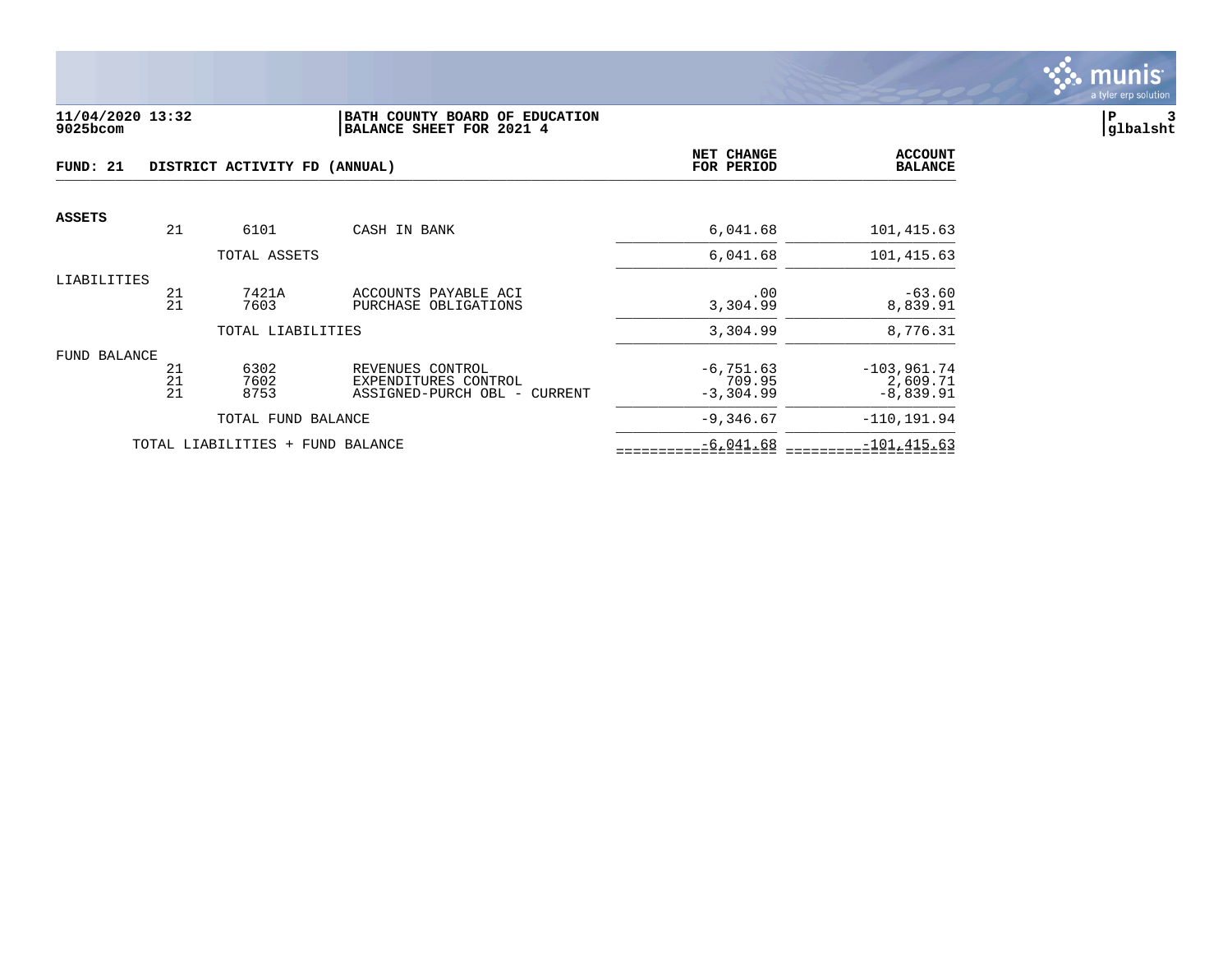

#### **11/04/2020 13:32 |BATH COUNTY BOARD OF EDUCATION |P 3 9025bcom |BALANCE SHEET FOR 2021 4 |glbalsht**

| FUND: 21      |                | DISTRICT ACTIVITY FD (ANNUAL)    | NET CHANGE<br>FOR PERIOD                                                 | <b>ACCOUNT</b><br><b>BALANCE</b>      |                                          |
|---------------|----------------|----------------------------------|--------------------------------------------------------------------------|---------------------------------------|------------------------------------------|
| <b>ASSETS</b> | 21             | 6101                             | CASH IN BANK                                                             | 6,041.68                              | 101,415.63                               |
|               |                |                                  |                                                                          |                                       |                                          |
|               |                | TOTAL ASSETS                     |                                                                          | 6,041.68                              | 101,415.63                               |
| LIABILITIES   | 21<br>21       | 7421A<br>7603                    | ACCOUNTS PAYABLE ACI<br>PURCHASE OBLIGATIONS                             | .00<br>3,304.99                       | $-63.60$<br>8,839.91                     |
|               |                | TOTAL LIABILITIES                |                                                                          | 3,304.99                              | 8,776.31                                 |
| FUND BALANCE  | 21<br>21<br>21 | 6302<br>7602<br>8753             | REVENUES CONTROL<br>EXPENDITURES CONTROL<br>ASSIGNED-PURCH OBL - CURRENT | $-6, 751.63$<br>709.95<br>$-3,304.99$ | $-103,961.74$<br>2,609.71<br>$-8,839.91$ |
|               |                | TOTAL FUND BALANCE               |                                                                          | $-9,346.67$                           | $-110, 191.94$                           |
|               |                | TOTAL LIABILITIES + FUND BALANCE |                                                                          | $-6,041.68$                           | $-101, 415.63$                           |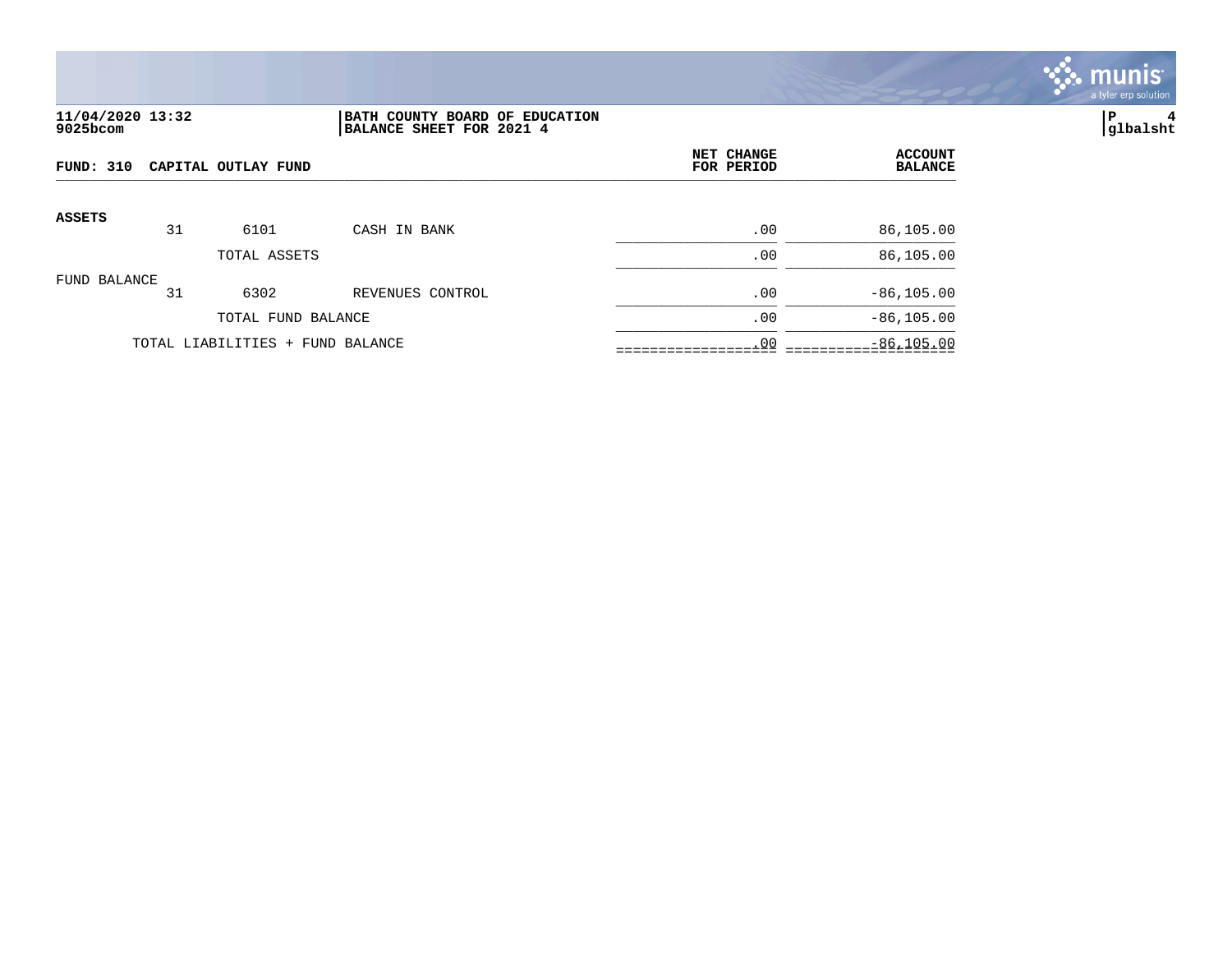

## **11/04/2020 13:32 |BATH COUNTY BOARD OF EDUCATION |P 4 9025bcom |BALANCE SHEET FOR 2021 4 |glbalsht**

| FUND: 310<br>CAPITAL OUTLAY FUND |    |                                  | NET CHANGE<br>FOR PERIOD | <b>ACCOUNT</b><br><b>BALANCE</b> |               |
|----------------------------------|----|----------------------------------|--------------------------|----------------------------------|---------------|
| <b>ASSETS</b>                    | 31 | 6101                             | CASH IN BANK             | .00                              | 86,105.00     |
|                                  |    | TOTAL ASSETS                     |                          | .00                              | 86,105.00     |
| FUND BALANCE                     | 31 | 6302                             | REVENUES CONTROL         | .00                              | $-86, 105.00$ |
|                                  |    | TOTAL FUND BALANCE               |                          | .00                              | $-86, 105.00$ |
|                                  |    | TOTAL LIABILITIES + FUND BALANCE |                          | .00                              | $-86, 105.00$ |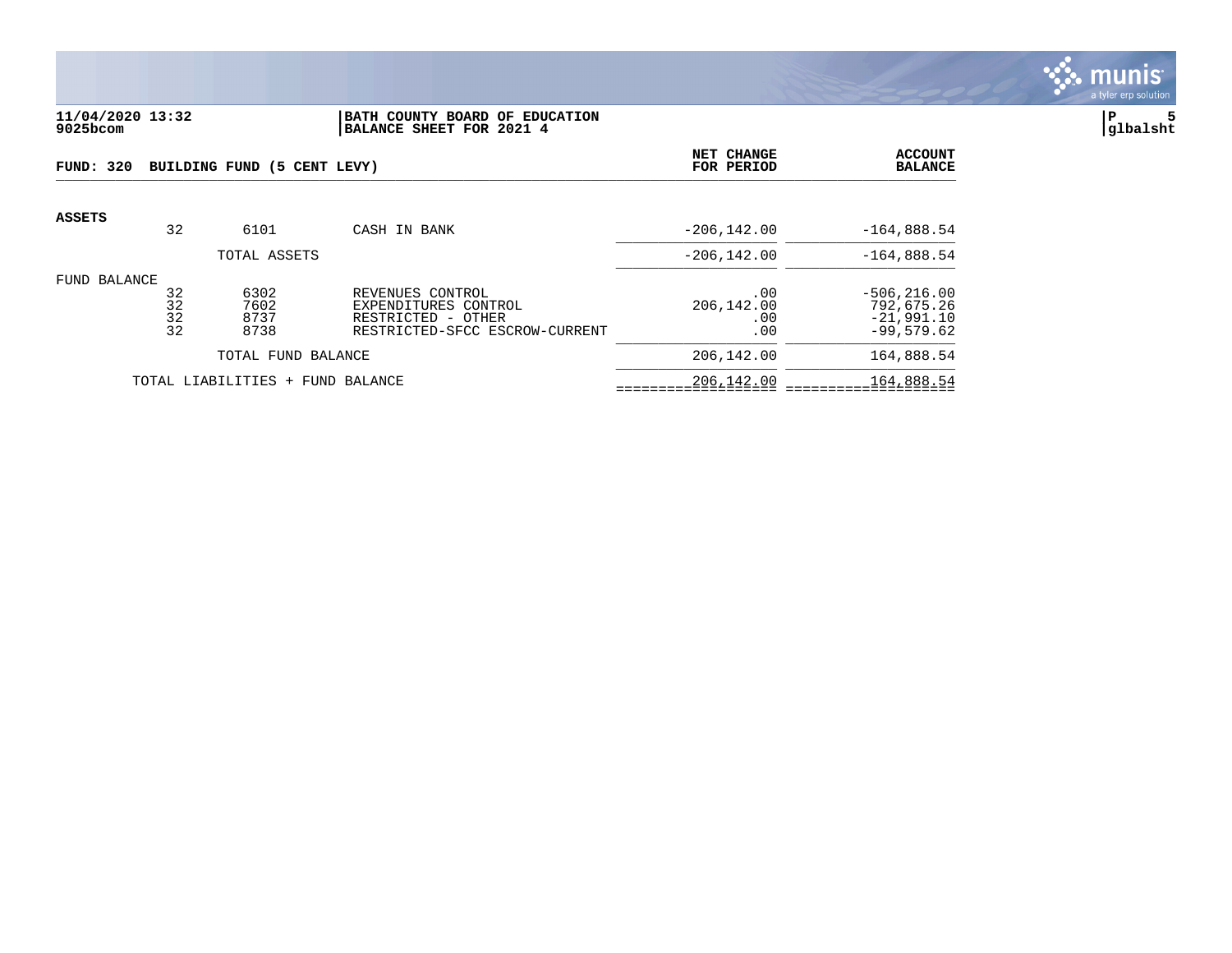

### **11/04/2020 13:32 |BATH COUNTY BOARD OF EDUCATION |P 5 9025bcom |BALANCE SHEET FOR 2021 4 |glbalsht**

| <b>FUND: 320</b><br>BUILDING FUND (5 CENT LEVY) |                      |                              |                                                                                                  | NET CHANGE<br>FOR PERIOD        | <b>ACCOUNT</b><br><b>BALANCE</b>                             |
|-------------------------------------------------|----------------------|------------------------------|--------------------------------------------------------------------------------------------------|---------------------------------|--------------------------------------------------------------|
| ASSETS                                          | 32                   | 6101                         | CASH IN BANK                                                                                     | $-206, 142.00$                  | $-164,888.54$                                                |
|                                                 |                      | TOTAL ASSETS                 |                                                                                                  | $-206.142.00$                   | $-164,888.54$                                                |
| FUND BALANCE                                    | 32<br>32<br>32<br>32 | 6302<br>7602<br>8737<br>8738 | REVENUES CONTROL<br>EXPENDITURES CONTROL<br>RESTRICTED - OTHER<br>RESTRICTED-SFCC ESCROW-CURRENT | .00<br>206,142.00<br>.00<br>.00 | $-506, 216.00$<br>792,675.26<br>$-21,991.10$<br>$-99,579.62$ |
| TOTAL FUND BALANCE                              |                      |                              | 206,142.00                                                                                       | 164,888.54                      |                                                              |
| TOTAL LIABILITIES +<br>FUND BALANCE             |                      |                              | 206,142.00                                                                                       | 164,888.54                      |                                                              |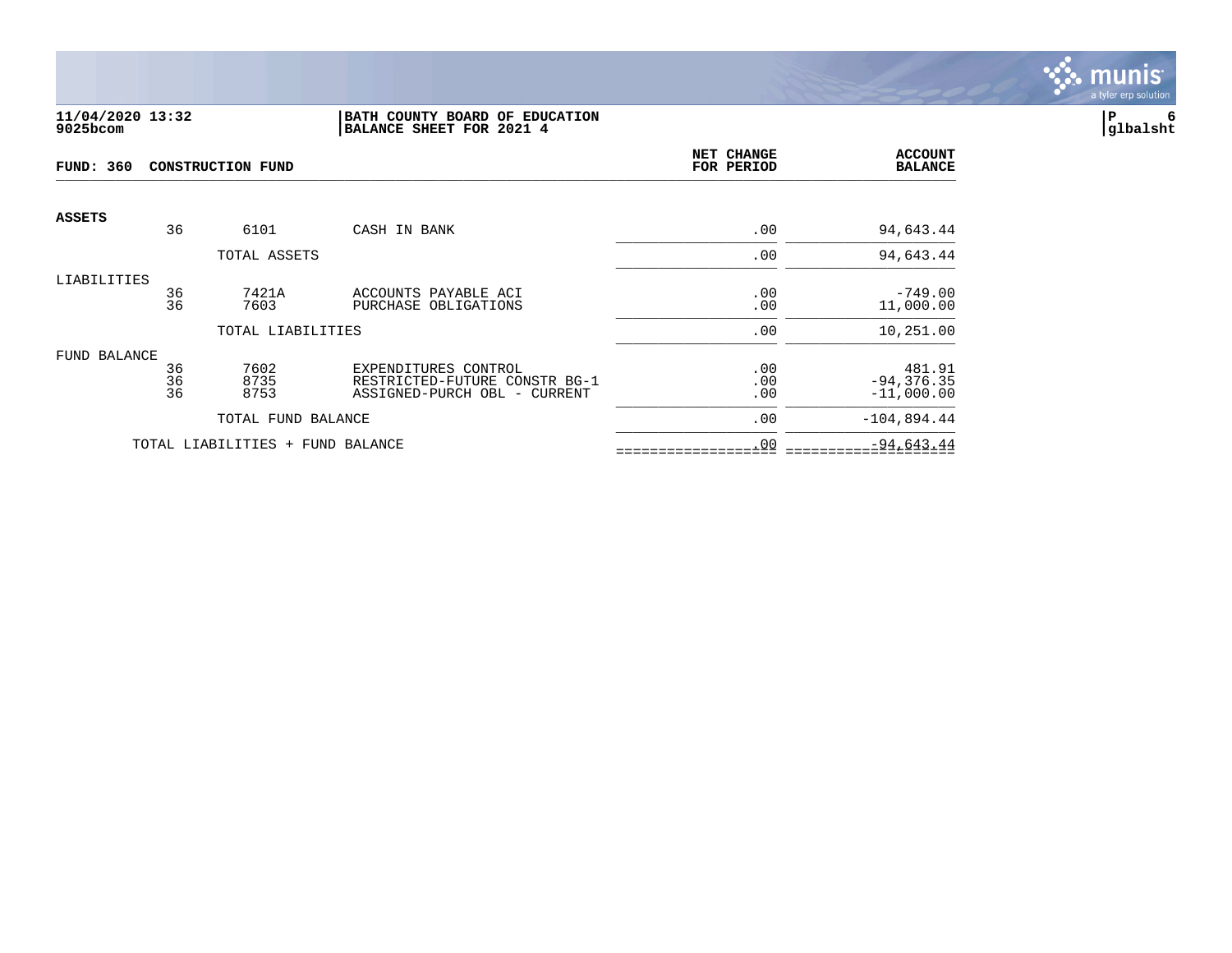

#### **11/04/2020 13:32 |BATH COUNTY BOARD OF EDUCATION |P 6 9025bcom |BALANCE SHEET FOR 2021 4 |glbalsht**

| <b>FUND: 360</b> |                | <b>CONSTRUCTION FUND</b>         | NET CHANGE<br>FOR PERIOD                                                              | <b>ACCOUNT</b><br><b>BALANCE</b> |                                         |
|------------------|----------------|----------------------------------|---------------------------------------------------------------------------------------|----------------------------------|-----------------------------------------|
| <b>ASSETS</b>    | 36             | 6101                             | CASH IN BANK                                                                          | .00                              | 94,643.44                               |
|                  |                | TOTAL ASSETS                     |                                                                                       | .00                              | 94,643.44                               |
| LIABILITIES      | 36<br>36       | 7421A<br>7603                    | ACCOUNTS PAYABLE ACI<br>PURCHASE OBLIGATIONS                                          | .00<br>.00                       | $-749.00$<br>11,000.00                  |
|                  |                | TOTAL LIABILITIES                |                                                                                       | .00                              | 10,251.00                               |
| FUND BALANCE     | 36<br>36<br>36 | 7602<br>8735<br>8753             | EXPENDITURES CONTROL<br>RESTRICTED-FUTURE CONSTR BG-1<br>ASSIGNED-PURCH OBL - CURRENT | .00<br>.00<br>.00                | 481.91<br>$-94, 376.35$<br>$-11,000.00$ |
|                  |                | TOTAL FUND BALANCE               |                                                                                       | .00                              | $-104,894.44$                           |
|                  |                | TOTAL LIABILITIES + FUND BALANCE |                                                                                       | .00                              | $-94,643.44$                            |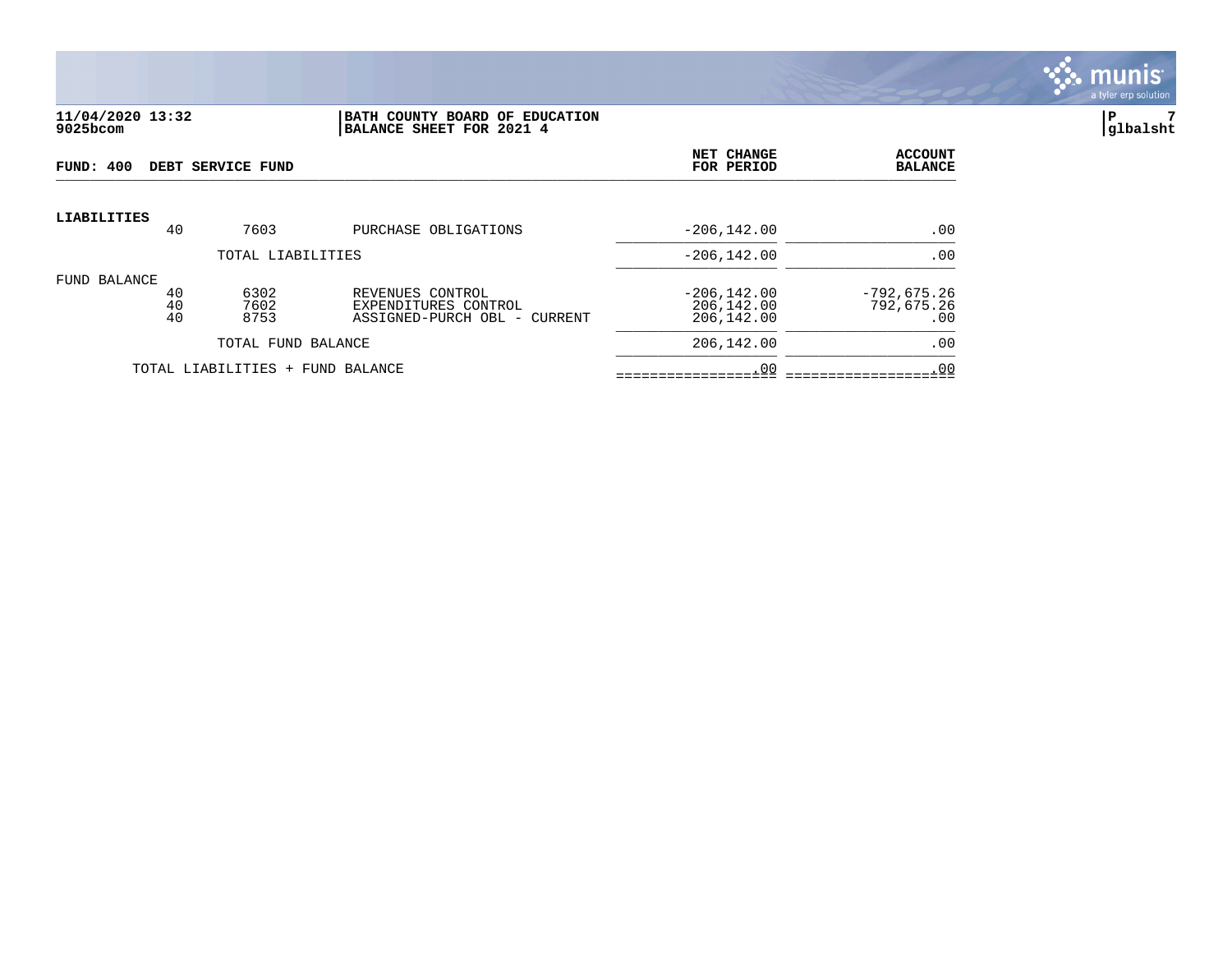

#### **11/04/2020 13:32 |BATH COUNTY BOARD OF EDUCATION |P 7 9025bcom |BALANCE SHEET FOR 2021 4 |glbalsht**

| FUND: 400                        |                | DEBT SERVICE FUND    |                                                                          | NET CHANGE<br>FOR PERIOD                   | <b>ACCOUNT</b><br><b>BALANCE</b>   |
|----------------------------------|----------------|----------------------|--------------------------------------------------------------------------|--------------------------------------------|------------------------------------|
| <b>LIABILITIES</b>               | 40             | 7603                 | PURCHASE OBLIGATIONS                                                     | $-206, 142.00$                             | .00                                |
| TOTAL LIABILITIES                |                |                      |                                                                          | $-206, 142.00$                             | .00                                |
| FUND BALANCE                     | 40<br>40<br>40 | 6302<br>7602<br>8753 | REVENUES CONTROL<br>EXPENDITURES CONTROL<br>ASSIGNED-PURCH OBL - CURRENT | $-206, 142.00$<br>206,142.00<br>206,142.00 | $-792,675.26$<br>792,675.26<br>.00 |
| TOTAL FUND BALANCE               |                |                      |                                                                          | 206,142.00                                 | .00                                |
| TOTAL LIABILITIES + FUND BALANCE |                |                      | .00                                                                      | .00                                        |                                    |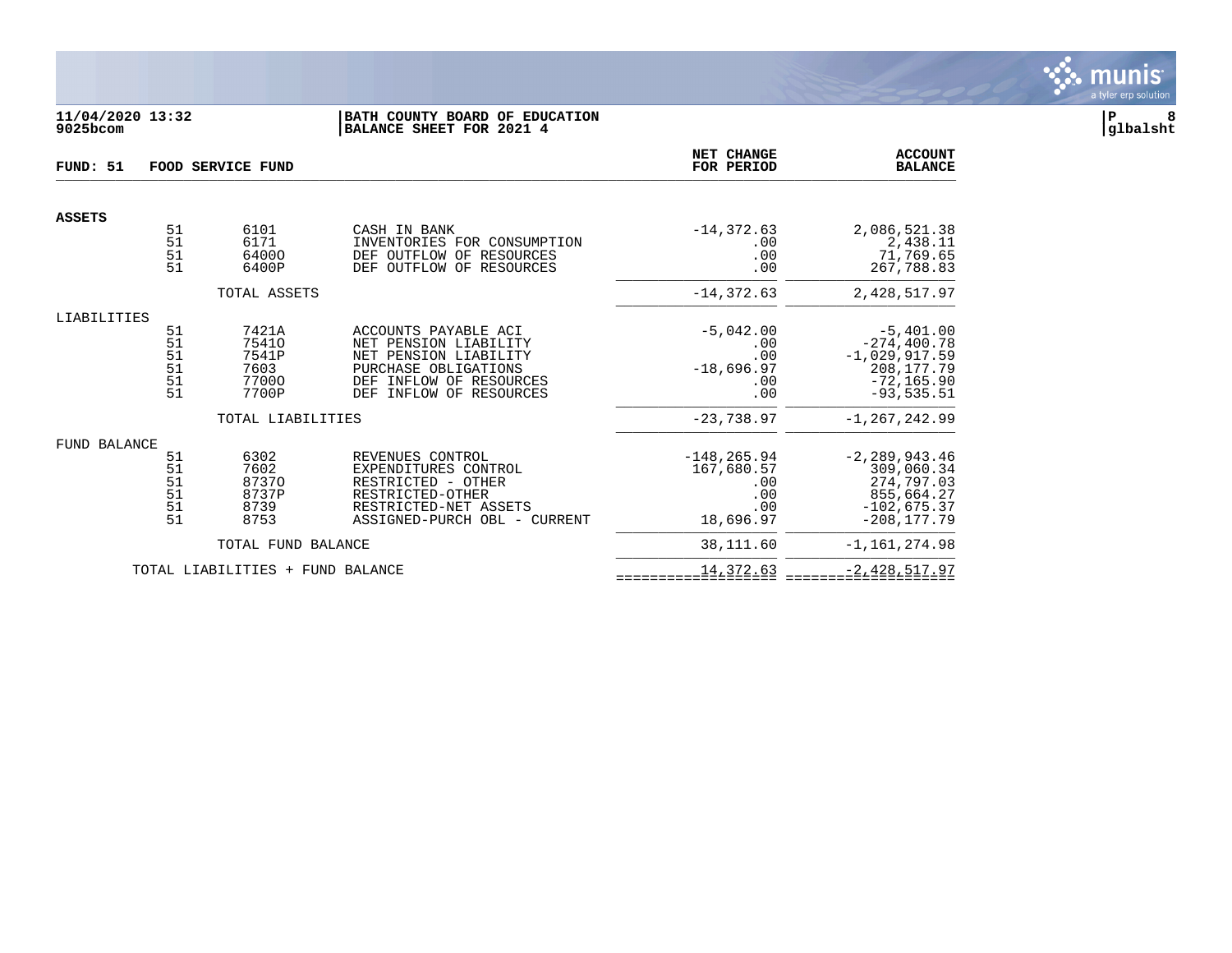

## **11/04/2020 13:32 |BATH COUNTY BOARD OF EDUCATION |P 8 9025bcom |BALANCE SHEET FOR 2021 4 |glbalsht**

| FUND: 51      | FOOD SERVICE FUND                |                                                   |                                                                                                                                                                   |                                                                | <b>ACCOUNT</b><br><b>BALANCE</b>                                                                 |
|---------------|----------------------------------|---------------------------------------------------|-------------------------------------------------------------------------------------------------------------------------------------------------------------------|----------------------------------------------------------------|--------------------------------------------------------------------------------------------------|
| <b>ASSETS</b> |                                  |                                                   |                                                                                                                                                                   |                                                                |                                                                                                  |
|               | 51<br>51<br>51<br>51             | 6101<br>6171<br>64000<br>6400P                    | CASH IN BANK<br>INVENTORIES FOR CONSUMPTION<br>DEF OUTFLOW OF RESOURCES<br>DEF OUTFLOW OF RESOURCES                                                               | $-14, 372.63$<br>.00<br>.00<br>.00                             | 2,086,521.38<br>2,438.11<br>71,769.65<br>267,788.83                                              |
|               |                                  | TOTAL ASSETS                                      |                                                                                                                                                                   | $-14, 372.63$                                                  | 2,428,517.97                                                                                     |
| LIABILITIES   |                                  |                                                   |                                                                                                                                                                   |                                                                |                                                                                                  |
|               | 51<br>51<br>51<br>51<br>51<br>51 | 7421A<br>75410<br>7541P<br>7603<br>77000<br>7700P | ACCOUNTS PAYABLE ACI<br>NET PENSION LIABILITY<br>NET PENSION LIABILITY<br>PURCHASE OBLIGATIONS<br>INFLOW OF RESOURCES<br>DEF<br><b>DEF</b><br>INFLOW OF RESOURCES | $-5,042.00$<br>.00<br>.00<br>$-18,696.97$<br>.00<br>.00        | $-5,401.00$<br>$-274, 400.78$<br>$-1,029,917.59$<br>208, 177.79<br>$-72, 165.90$<br>$-93,535.51$ |
|               |                                  | TOTAL LIABILITIES                                 |                                                                                                                                                                   | $-23,738.97$                                                   | $-1, 267, 242.99$                                                                                |
| FUND BALANCE  |                                  |                                                   |                                                                                                                                                                   |                                                                |                                                                                                  |
|               | 51<br>51<br>51<br>51<br>51<br>51 | 6302<br>7602<br>87370<br>8737P<br>8739<br>8753    | REVENUES CONTROL<br>EXPENDITURES CONTROL<br>RESTRICTED - OTHER<br>RESTRICTED-OTHER<br>RESTRICTED-NET ASSETS<br>ASSIGNED-PURCH OBL - CURRENT                       | $-148, 265.94$<br>167,680.57<br>.00<br>.00<br>.00<br>18,696.97 | $-2, 289, 943.46$<br>309,060.34<br>274,797.03<br>855,664.27<br>$-102,675.37$<br>$-208.177.79$    |
|               |                                  | TOTAL FUND BALANCE                                |                                                                                                                                                                   | 38,111.60                                                      | $-1, 161, 274.98$                                                                                |
|               |                                  | TOTAL LIABILITIES + FUND BALANCE                  |                                                                                                                                                                   | 14,372.63                                                      | $-2,428,517.97$                                                                                  |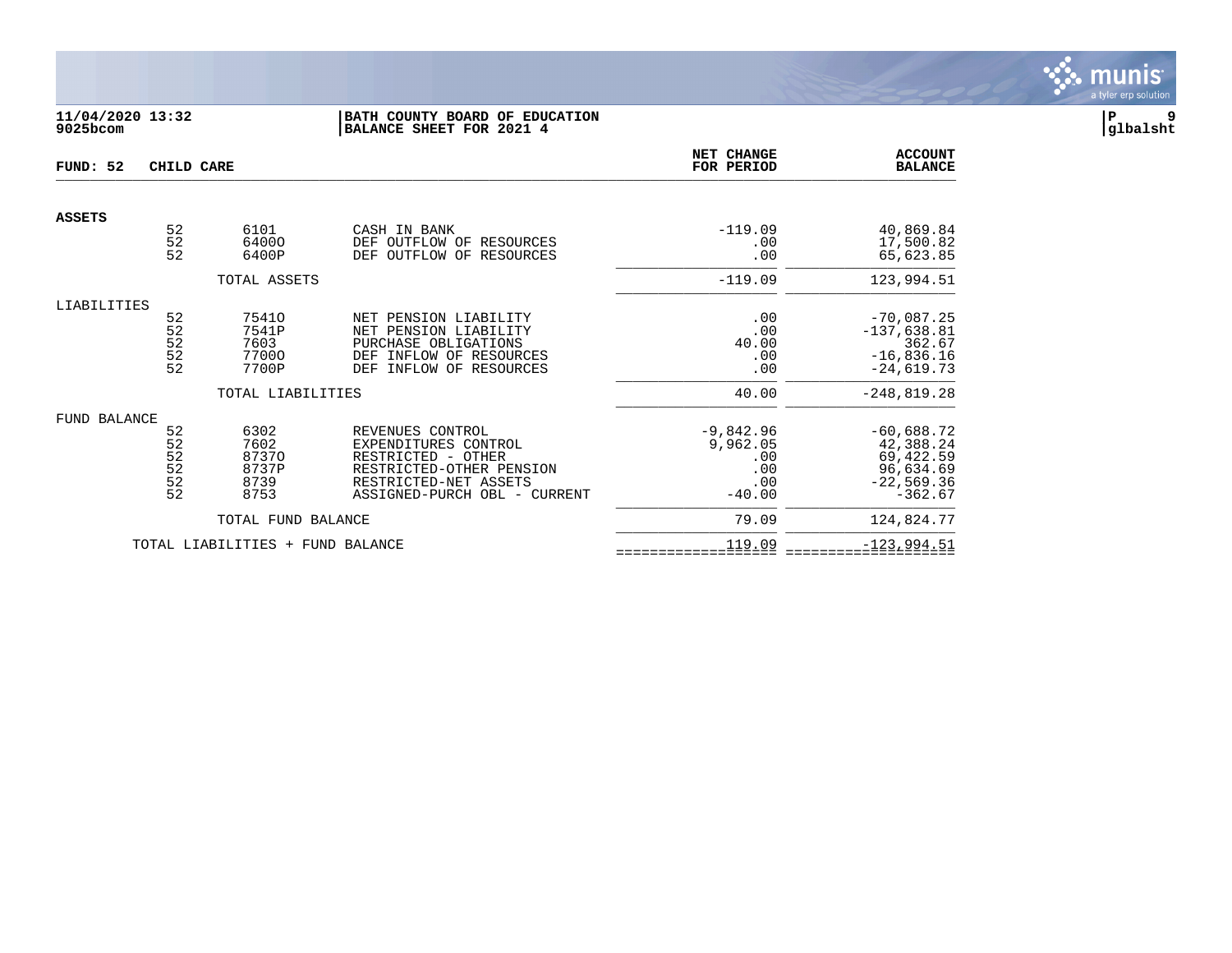

## **11/04/2020 13:32 |BATH COUNTY BOARD OF EDUCATION |P 9 9025bcom |BALANCE SHEET FOR 2021 4 |glbalsht**

| FUND: 52            | CHILD CARE                       |                                                |                                                                                                                                                     | NET CHANGE<br>FOR PERIOD                                 | <b>ACCOUNT</b><br><b>BALANCE</b>                                                 |
|---------------------|----------------------------------|------------------------------------------------|-----------------------------------------------------------------------------------------------------------------------------------------------------|----------------------------------------------------------|----------------------------------------------------------------------------------|
| <b>ASSETS</b>       |                                  |                                                |                                                                                                                                                     |                                                          |                                                                                  |
|                     | 52<br>52<br>52                   | 6101<br>64000<br>6400P                         | CASH IN BANK<br>DEF<br>OUTFLOW OF<br>RESOURCES<br>OUTFLOW OF<br>RESOURCES<br>DEF                                                                    | $-119.09$<br>.00<br>.00                                  | 40,869.84<br>17,500.82<br>65,623.85                                              |
|                     |                                  | TOTAL ASSETS                                   |                                                                                                                                                     | $-119.09$                                                | 123,994.51                                                                       |
| LIABILITIES         |                                  |                                                |                                                                                                                                                     |                                                          |                                                                                  |
|                     | 52<br>52<br>52<br>$\frac{5}{2}$  | 75410<br>7541P<br>7603<br>77000<br>7700P       | NET PENSION LIABILITY<br>NET PENSION LIABILITY<br>PURCHASE OBLIGATIONS<br>INFLOW OF RESOURCES<br>DEF<br>INFLOW OF RESOURCES<br>DEF                  | .00<br>.00<br>40.00<br>.00<br>.00                        | $-70,087.25$<br>$-137,638.81$<br>362.67<br>$-16,836.16$<br>$-24,619.73$          |
|                     |                                  | TOTAL LIABILITIES                              |                                                                                                                                                     | 40.00                                                    | $-248,819.28$                                                                    |
| <b>FUND BALANCE</b> | 52<br>52<br>52<br>52<br>52<br>52 | 6302<br>7602<br>87370<br>8737P<br>8739<br>8753 | REVENUES CONTROL<br>EXPENDITURES CONTROL<br>RESTRICTED - OTHER<br>RESTRICTED-OTHER PENSION<br>RESTRICTED-NET ASSETS<br>ASSIGNED-PURCH OBL - CURRENT | $-9,842.96$<br>9,962.05<br>.00<br>.00<br>.00<br>$-40.00$ | $-60,688.72$<br>42,388.24<br>69,422.59<br>96,634.69<br>$-22,569.36$<br>$-362.67$ |
|                     |                                  | TOTAL FUND BALANCE                             |                                                                                                                                                     | 79.09                                                    | 124,824.77                                                                       |
|                     |                                  | TOTAL LIABILITIES + FUND BALANCE               |                                                                                                                                                     | 119.09                                                   | $-123,994.51$                                                                    |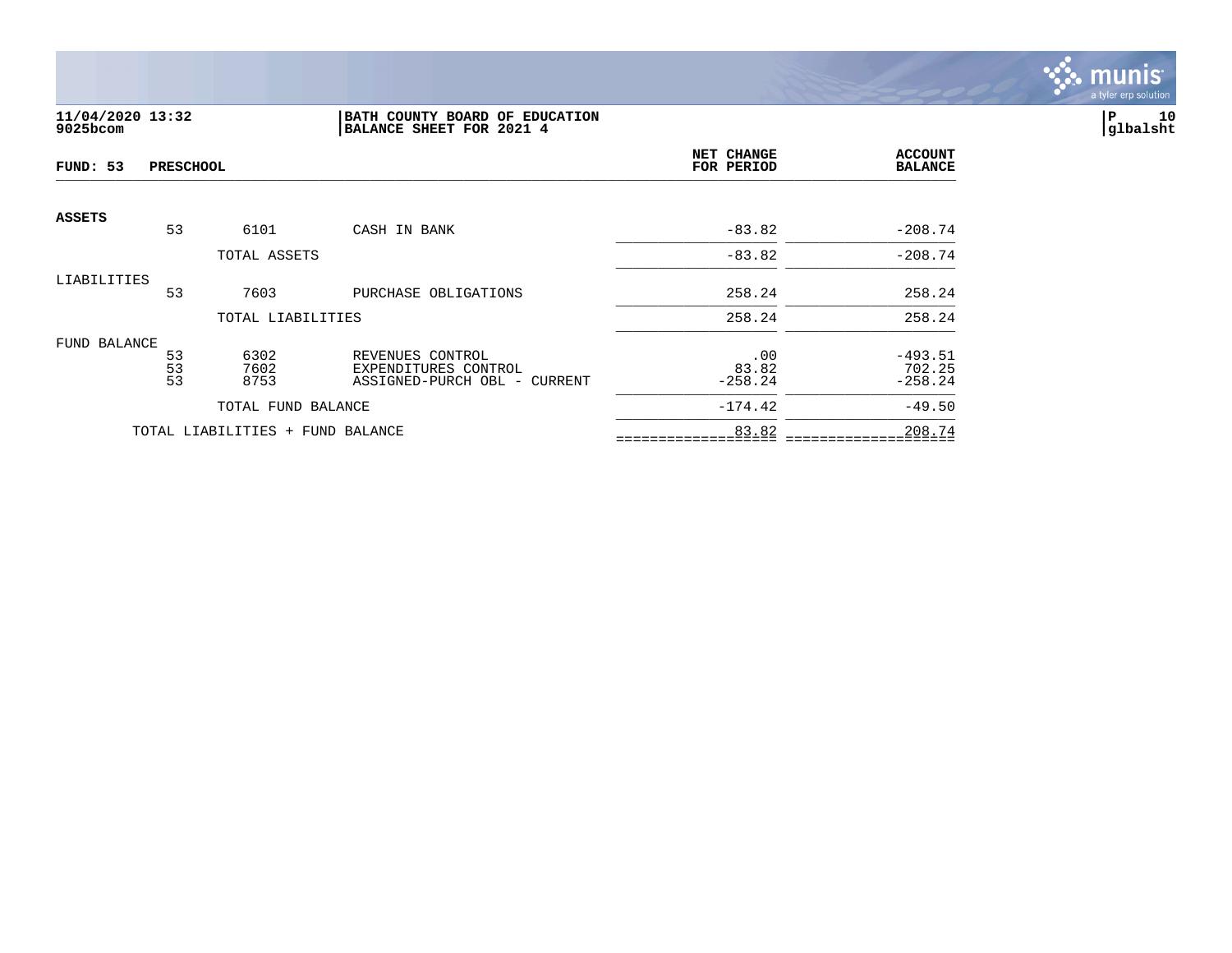

## **11/04/2020 13:32 |BATH COUNTY BOARD OF EDUCATION |P 10 9025bcom |BALANCE SHEET FOR 2021 4 |glbalsht**

| FUND: 53      | <b>PRESCHOOL</b> |                                  | NET CHANGE<br>FOR PERIOD                             | <b>ACCOUNT</b><br><b>BALANCE</b> |                     |
|---------------|------------------|----------------------------------|------------------------------------------------------|----------------------------------|---------------------|
| <b>ASSETS</b> | 53               | 6101                             | CASH IN BANK                                         | $-83.82$                         | $-208.74$           |
|               |                  |                                  |                                                      |                                  |                     |
|               |                  | TOTAL ASSETS                     |                                                      | $-83.82$                         | $-208.74$           |
| LIABILITIES   |                  |                                  |                                                      |                                  |                     |
|               | 53               | 7603                             | PURCHASE OBLIGATIONS                                 | 258.24                           | 258.24              |
|               |                  | TOTAL LIABILITIES                |                                                      | 258.24                           | 258.24              |
| FUND BALANCE  |                  |                                  |                                                      |                                  |                     |
|               | 53               | 6302                             | REVENUES CONTROL                                     | .00                              | $-493.51$           |
|               | 53<br>53         | 7602<br>8753                     | EXPENDITURES CONTROL<br>ASSIGNED-PURCH OBL - CURRENT | 83.82<br>$-258.24$               | 702.25<br>$-258.24$ |
|               |                  |                                  |                                                      |                                  |                     |
|               |                  | TOTAL FUND BALANCE               |                                                      | $-174.42$                        | $-49.50$            |
|               |                  | TOTAL LIABILITIES + FUND BALANCE |                                                      | 83.82                            | 208.74              |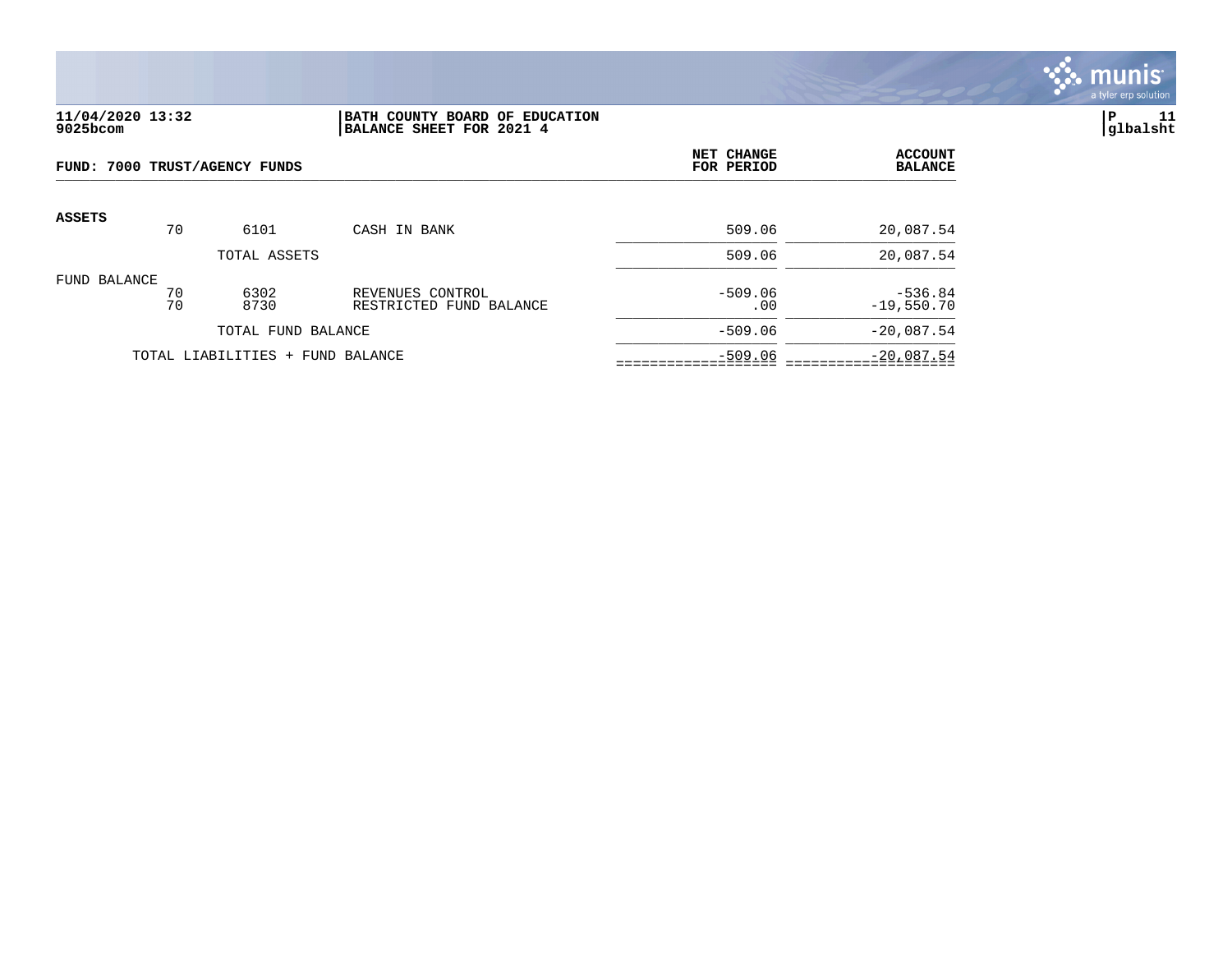

#### **11/04/2020 13:32 |BATH COUNTY BOARD OF EDUCATION |P 11 9025bcom |BALANCE SHEET FOR 2021 4 |glbalsht**

| FUND: 7000 TRUST/AGENCY FUNDS    |          |              | NET CHANGE<br>FOR PERIOD                    | <b>ACCOUNT</b><br><b>BALANCE</b> |                           |
|----------------------------------|----------|--------------|---------------------------------------------|----------------------------------|---------------------------|
| <b>ASSETS</b>                    | 70       | 6101         | CASH IN BANK                                | 509.06                           | 20,087.54                 |
|                                  |          | TOTAL ASSETS |                                             | 509.06                           | 20,087.54                 |
| FUND BALANCE                     | 70<br>70 | 6302<br>8730 | REVENUES CONTROL<br>RESTRICTED FUND BALANCE | $-509.06$<br>.00                 | $-536.84$<br>$-19,550.70$ |
| TOTAL FUND BALANCE               |          |              |                                             | $-509.06$                        | $-20,087.54$              |
| TOTAL LIABILITIES + FUND BALANCE |          |              | $-509.06$                                   | $-20,087.54$                     |                           |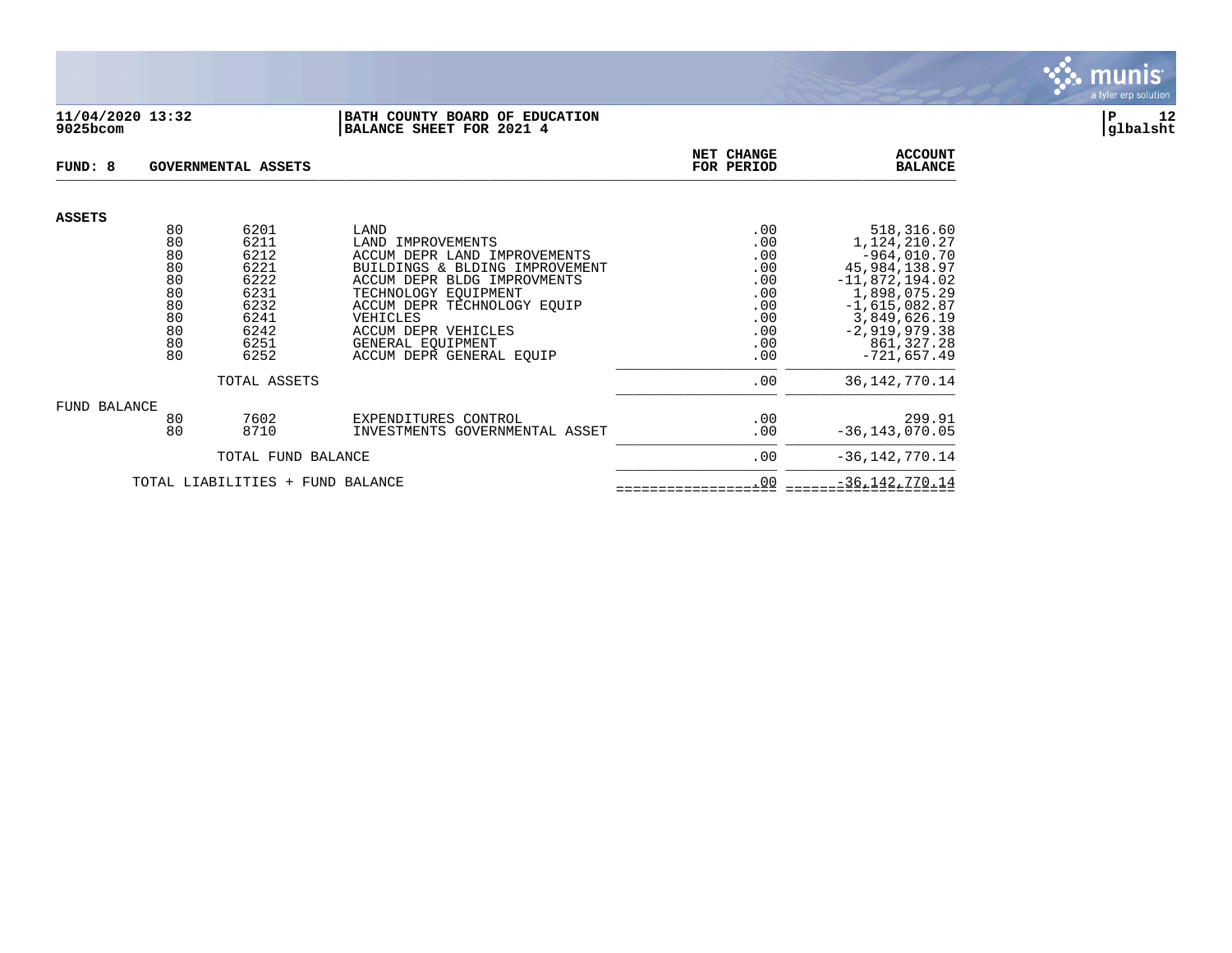

#### **11/04/2020 13:32 |BATH COUNTY BOARD OF EDUCATION |P 12 9025bcom |BALANCE SHEET FOR 2021 4 |glbalsht**

| FUND: 8       |          | GOVERNMENTAL ASSETS              |                                                               | NET CHANGE<br>FOR PERIOD | <b>ACCOUNT</b><br><b>BALANCE</b>  |
|---------------|----------|----------------------------------|---------------------------------------------------------------|--------------------------|-----------------------------------|
| <b>ASSETS</b> |          |                                  |                                                               |                          |                                   |
|               | 80       | 6201                             | LAND                                                          | .00                      | 518,316.60                        |
|               | 80       | 6211                             | LAND IMPROVEMENTS                                             | .00                      | 1,124,210.27                      |
|               | 80<br>80 | 6212<br>6221                     | ACCUM DEPR LAND IMPROVEMENTS                                  | .00                      | $-964,010.70$                     |
|               | 80       | 6222                             | BUILDINGS & BLDING IMPROVEMENT<br>ACCUM DEPR BLDG IMPROVMENTS | .00<br>.00               | 45,984,138.97<br>$-11,872,194.02$ |
|               | 80       | 6231                             | TECHNOLOGY EOUIPMENT                                          | .00                      | 1,898,075.29                      |
|               | 80       | 6232                             | ACCUM DEPR TECHNOLOGY EOUIP                                   | .00                      | $-1,615,082.87$                   |
|               | 80       | 6241                             | VEHICLES                                                      | .00                      | 3,849,626.19                      |
|               | 80       | 6242                             | ACCUM DEPR VEHICLES                                           | .00                      | $-2,919,979.38$                   |
|               | 80       | 6251                             | GENERAL EOUIPMENT                                             | .00                      | 861, 327. 28                      |
|               | 80       | 6252                             | ACCUM DEPR GENERAL EOUIP                                      | .00                      | $-721,657.49$                     |
|               |          | TOTAL ASSETS                     |                                                               | .00                      | 36, 142, 770. 14                  |
| FUND BALANCE  |          |                                  |                                                               |                          |                                   |
|               | 80       | 7602                             | EXPENDITURES CONTROL                                          | .00                      | 299.91                            |
|               | 80       | 8710                             | INVESTMENTS GOVERNMENTAL ASSET                                | .00                      | $-36, 143, 070.05$                |
|               |          | TOTAL FUND BALANCE               |                                                               | .00                      | $-36, 142, 770.14$                |
|               |          | TOTAL LIABILITIES + FUND BALANCE |                                                               | .00                      | $-36, 142, 770.14$                |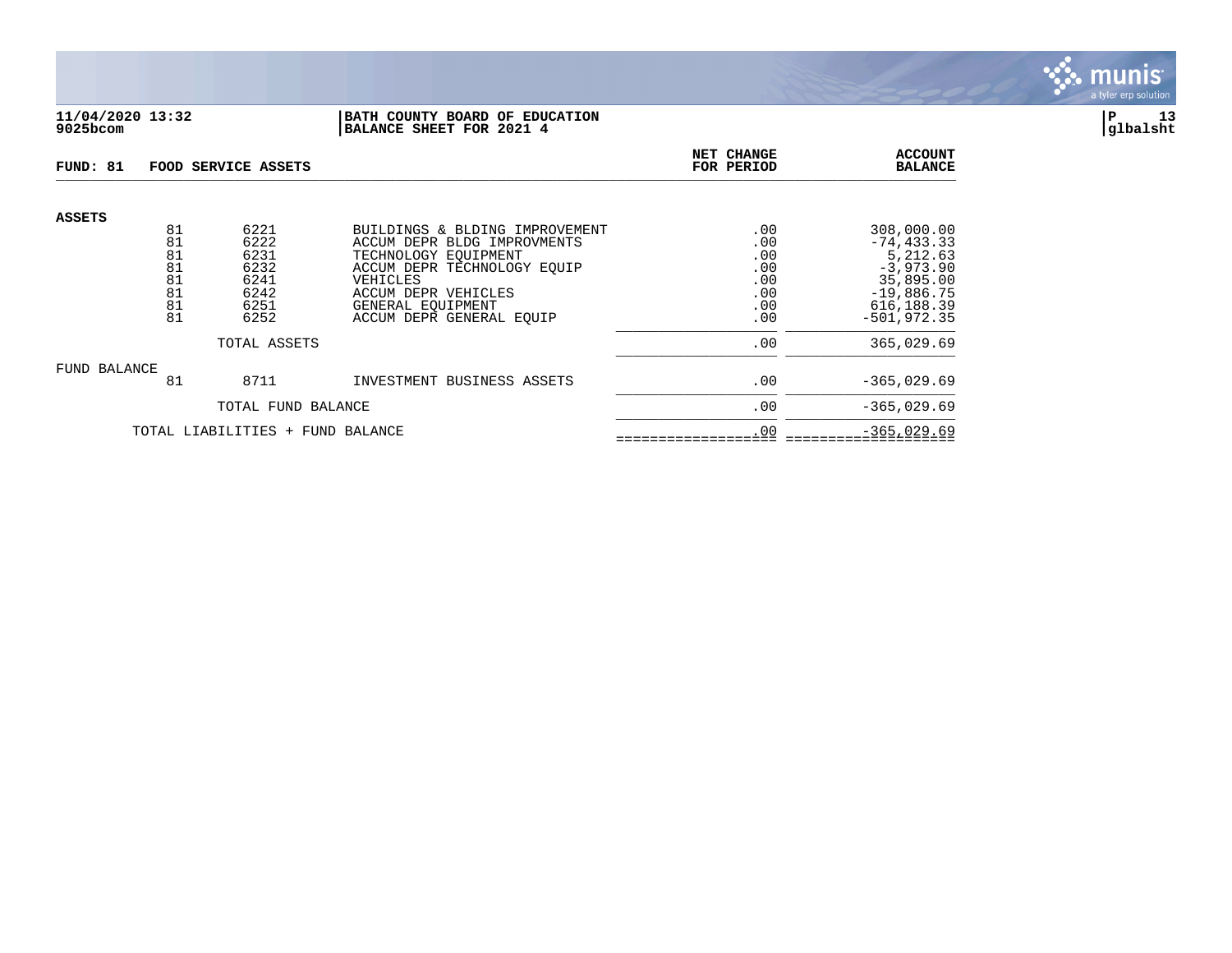

### **11/04/2020 13:32 |BATH COUNTY BOARD OF EDUCATION |P 13 9025bcom |BALANCE SHEET FOR 2021 4 |glbalsht**

| FUND: 81                         |                                        | FOOD SERVICE ASSETS                                  | NET CHANGE<br>FOR PERIOD                                                                                                                                                     | <b>ACCOUNT</b><br><b>BALANCE</b>              |                                                                                                    |
|----------------------------------|----------------------------------------|------------------------------------------------------|------------------------------------------------------------------------------------------------------------------------------------------------------------------------------|-----------------------------------------------|----------------------------------------------------------------------------------------------------|
| <b>ASSETS</b>                    | 81<br>81<br>81<br>81<br>81<br>81<br>81 | 6221<br>6222<br>6231<br>6232<br>6241<br>6242<br>6251 | BUILDINGS & BLDING IMPROVEMENT<br>ACCUM DEPR BLDG IMPROVMENTS<br>TECHNOLOGY EOUIPMENT<br>ACCUM DEPR TECHNOLOGY EQUIP<br>VEHICLES<br>ACCUM DEPR VEHICLES<br>GENERAL EOUIPMENT | .00<br>.00<br>.00<br>.00<br>.00<br>.00<br>.00 | 308,000.00<br>$-74, 433.33$<br>5,212.63<br>$-3,973.90$<br>35,895.00<br>$-19,886.75$<br>616, 188.39 |
|                                  | 81                                     | 6252                                                 | ACCUM DEPR GENERAL EQUIP                                                                                                                                                     | .00                                           | $-501.972.35$                                                                                      |
| TOTAL ASSETS                     |                                        |                                                      |                                                                                                                                                                              | .00                                           | 365,029.69                                                                                         |
| FUND BALANCE                     | 81                                     | 8711                                                 | INVESTMENT BUSINESS ASSETS                                                                                                                                                   | .00                                           | $-365,029.69$                                                                                      |
|                                  | TOTAL FUND BALANCE                     |                                                      |                                                                                                                                                                              | .00                                           | $-365,029.69$                                                                                      |
| TOTAL LIABILITIES + FUND BALANCE |                                        |                                                      |                                                                                                                                                                              | .00                                           | $-365,029.69$                                                                                      |